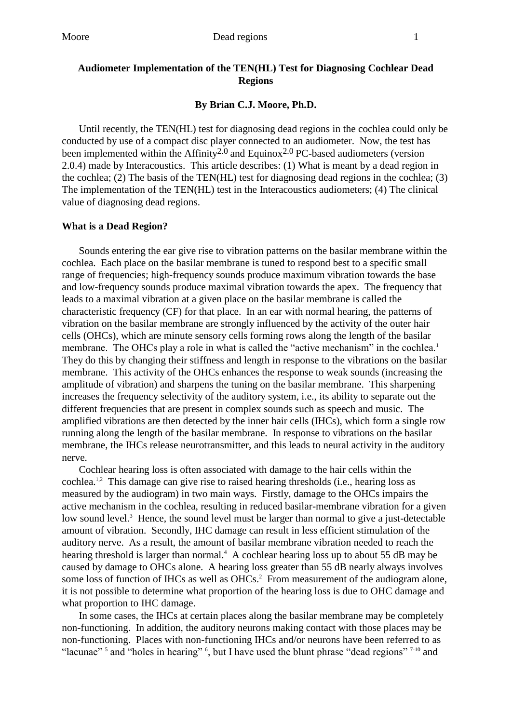## **Audiometer Implementation of the TEN(HL) Test for Diagnosing Cochlear Dead Regions**

### **By Brian C.J. Moore, Ph.D.**

Until recently, the TEN(HL) test for diagnosing dead regions in the cochlea could only be conducted by use of a compact disc player connected to an audiometer. Now, the test has been implemented within the Affinity<sup>2.0</sup> and Equinox<sup>2.0</sup> PC-based audiometers (version 2.0.4) made by Interacoustics. This article describes: (1) What is meant by a dead region in the cochlea; (2) The basis of the TEN(HL) test for diagnosing dead regions in the cochlea; (3) The implementation of the TEN(HL) test in the Interacoustics audiometers; (4) The clinical value of diagnosing dead regions.

#### **What is a Dead Region?**

Sounds entering the ear give rise to vibration patterns on the basilar membrane within the cochlea. Each place on the basilar membrane is tuned to respond best to a specific small range of frequencies; high-frequency sounds produce maximum vibration towards the base and low-frequency sounds produce maximal vibration towards the apex. The frequency that leads to a maximal vibration at a given place on the basilar membrane is called the characteristic frequency (CF) for that place. In an ear with normal hearing, the patterns of vibration on the basilar membrane are strongly influenced by the activity of the outer hair cells (OHCs), which are minute sensory cells forming rows along the length of the basilar membrane. The OHCs play a role in what is called the "active mechanism" in the cochlea.<sup>1</sup> They do this by changing their stiffness and length in response to the vibrations on the basilar membrane. This activity of the OHCs enhances the response to weak sounds (increasing the amplitude of vibration) and sharpens the tuning on the basilar membrane. This sharpening increases the frequency selectivity of the auditory system, i.e., its ability to separate out the different frequencies that are present in complex sounds such as speech and music. The amplified vibrations are then detected by the inner hair cells (IHCs), which form a single row running along the length of the basilar membrane. In response to vibrations on the basilar membrane, the IHCs release neurotransmitter, and this leads to neural activity in the auditory nerve.

Cochlear hearing loss is often associated with damage to the hair cells within the cochlea.1,2 This damage can give rise to raised hearing thresholds (i.e., hearing loss as measured by the audiogram) in two main ways. Firstly, damage to the OHCs impairs the active mechanism in the cochlea, resulting in reduced basilar-membrane vibration for a given low sound level.<sup>3</sup> Hence, the sound level must be larger than normal to give a just-detectable amount of vibration. Secondly, IHC damage can result in less efficient stimulation of the auditory nerve. As a result, the amount of basilar membrane vibration needed to reach the hearing threshold is larger than normal.<sup>4</sup> A cochlear hearing loss up to about 55 dB may be caused by damage to OHCs alone. A hearing loss greater than 55 dB nearly always involves some loss of function of IHCs as well as OHCs.<sup>2</sup> From measurement of the audiogram alone, it is not possible to determine what proportion of the hearing loss is due to OHC damage and what proportion to IHC damage.

In some cases, the IHCs at certain places along the basilar membrane may be completely non-functioning. In addition, the auditory neurons making contact with those places may be non-functioning. Places with non-functioning IHCs and/or neurons have been referred to as "lacunae"<sup>5</sup> and "holes in hearing"  $\frac{6}{5}$ , but I have used the blunt phrase "dead regions"  $7-10$  and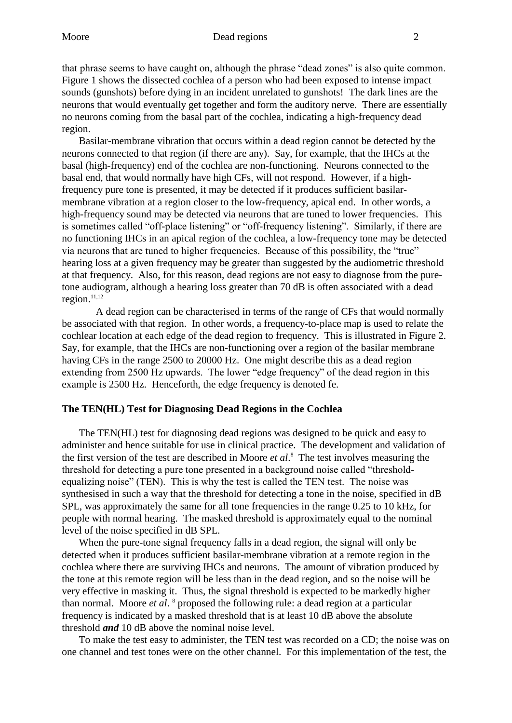that phrase seems to have caught on, although the phrase "dead zones" is also quite common. Figure 1 shows the dissected cochlea of a person who had been exposed to intense impact sounds (gunshots) before dying in an incident unrelated to gunshots! The dark lines are the neurons that would eventually get together and form the auditory nerve. There are essentially no neurons coming from the basal part of the cochlea, indicating a high-frequency dead region.

Basilar-membrane vibration that occurs within a dead region cannot be detected by the neurons connected to that region (if there are any). Say, for example, that the IHCs at the basal (high-frequency) end of the cochlea are non-functioning. Neurons connected to the basal end, that would normally have high CFs, will not respond. However, if a highfrequency pure tone is presented, it may be detected if it produces sufficient basilarmembrane vibration at a region closer to the low-frequency, apical end. In other words, a high-frequency sound may be detected via neurons that are tuned to lower frequencies. This is sometimes called "off-place listening" or "off-frequency listening". Similarly, if there are no functioning IHCs in an apical region of the cochlea, a low-frequency tone may be detected via neurons that are tuned to higher frequencies. Because of this possibility, the "true" hearing loss at a given frequency may be greater than suggested by the audiometric threshold at that frequency. Also, for this reason, dead regions are not easy to diagnose from the puretone audiogram, although a hearing loss greater than 70 dB is often associated with a dead region. $11,12$ 

A dead region can be characterised in terms of the range of CFs that would normally be associated with that region. In other words, a frequency-to-place map is used to relate the cochlear location at each edge of the dead region to frequency. This is illustrated in Figure 2. Say, for example, that the IHCs are non-functioning over a region of the basilar membrane having CFs in the range 2500 to 20000 Hz. One might describe this as a dead region extending from 2500 Hz upwards. The lower "edge frequency" of the dead region in this example is 2500 Hz. Henceforth, the edge frequency is denoted fe.

### **The TEN(HL) Test for Diagnosing Dead Regions in the Cochlea**

The TEN(HL) test for diagnosing dead regions was designed to be quick and easy to administer and hence suitable for use in clinical practice. The development and validation of the first version of the test are described in Moore *et al*. 8 The test involves measuring the threshold for detecting a pure tone presented in a background noise called "thresholdequalizing noise" (TEN). This is why the test is called the TEN test. The noise was synthesised in such a way that the threshold for detecting a tone in the noise, specified in dB SPL, was approximately the same for all tone frequencies in the range 0.25 to 10 kHz, for people with normal hearing. The masked threshold is approximately equal to the nominal level of the noise specified in dB SPL.

When the pure-tone signal frequency falls in a dead region, the signal will only be detected when it produces sufficient basilar-membrane vibration at a remote region in the cochlea where there are surviving IHCs and neurons. The amount of vibration produced by the tone at this remote region will be less than in the dead region, and so the noise will be very effective in masking it. Thus, the signal threshold is expected to be markedly higher than normal. Moore *et al*. 8 proposed the following rule: a dead region at a particular frequency is indicated by a masked threshold that is at least 10 dB above the absolute threshold *and* 10 dB above the nominal noise level.

To make the test easy to administer, the TEN test was recorded on a CD; the noise was on one channel and test tones were on the other channel. For this implementation of the test, the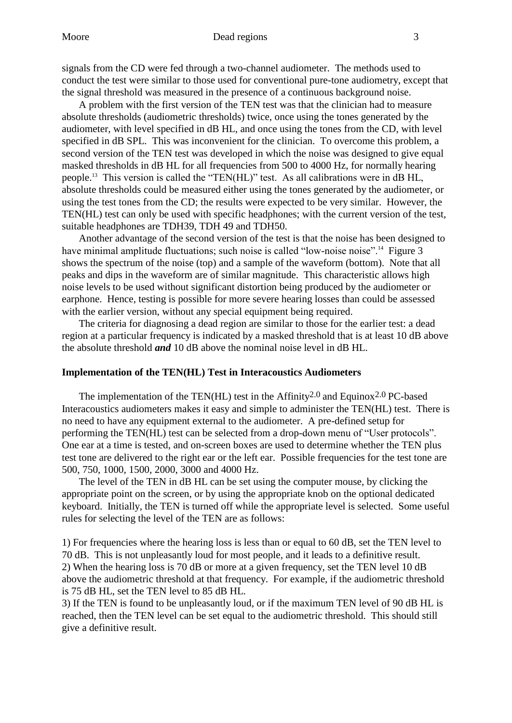signals from the CD were fed through a two-channel audiometer. The methods used to conduct the test were similar to those used for conventional pure-tone audiometry, except that the signal threshold was measured in the presence of a continuous background noise.

A problem with the first version of the TEN test was that the clinician had to measure absolute thresholds (audiometric thresholds) twice, once using the tones generated by the audiometer, with level specified in dB HL, and once using the tones from the CD, with level specified in dB SPL. This was inconvenient for the clinician. To overcome this problem, a second version of the TEN test was developed in which the noise was designed to give equal masked thresholds in dB HL for all frequencies from 500 to 4000 Hz, for normally hearing people.<sup>13</sup> This version is called the "TEN(HL)" test. As all calibrations were in dB HL, absolute thresholds could be measured either using the tones generated by the audiometer, or using the test tones from the CD; the results were expected to be very similar. However, the TEN(HL) test can only be used with specific headphones; with the current version of the test, suitable headphones are TDH39, TDH 49 and TDH50.

Another advantage of the second version of the test is that the noise has been designed to have minimal amplitude fluctuations; such noise is called "low-noise noise".<sup>14</sup> Figure 3 shows the spectrum of the noise (top) and a sample of the waveform (bottom). Note that all peaks and dips in the waveform are of similar magnitude. This characteristic allows high noise levels to be used without significant distortion being produced by the audiometer or earphone. Hence, testing is possible for more severe hearing losses than could be assessed with the earlier version, without any special equipment being required.

The criteria for diagnosing a dead region are similar to those for the earlier test: a dead region at a particular frequency is indicated by a masked threshold that is at least 10 dB above the absolute threshold *and* 10 dB above the nominal noise level in dB HL.

# **Implementation of the TEN(HL) Test in Interacoustics Audiometers**

The implementation of the TEN(HL) test in the Affinity<sup>2.0</sup> and Equinox<sup>2.0</sup> PC-based Interacoustics audiometers makes it easy and simple to administer the TEN(HL) test. There is no need to have any equipment external to the audiometer. A pre-defined setup for performing the TEN(HL) test can be selected from a drop-down menu of "User protocols". One ear at a time is tested, and on-screen boxes are used to determine whether the TEN plus test tone are delivered to the right ear or the left ear. Possible frequencies for the test tone are 500, 750, 1000, 1500, 2000, 3000 and 4000 Hz.

The level of the TEN in dB HL can be set using the computer mouse, by clicking the appropriate point on the screen, or by using the appropriate knob on the optional dedicated keyboard. Initially, the TEN is turned off while the appropriate level is selected. Some useful rules for selecting the level of the TEN are as follows:

1) For frequencies where the hearing loss is less than or equal to 60 dB, set the TEN level to 70 dB. This is not unpleasantly loud for most people, and it leads to a definitive result. 2) When the hearing loss is 70 dB or more at a given frequency, set the TEN level 10 dB above the audiometric threshold at that frequency. For example, if the audiometric threshold is 75 dB HL, set the TEN level to 85 dB HL.

3) If the TEN is found to be unpleasantly loud, or if the maximum TEN level of 90 dB HL is reached, then the TEN level can be set equal to the audiometric threshold. This should still give a definitive result.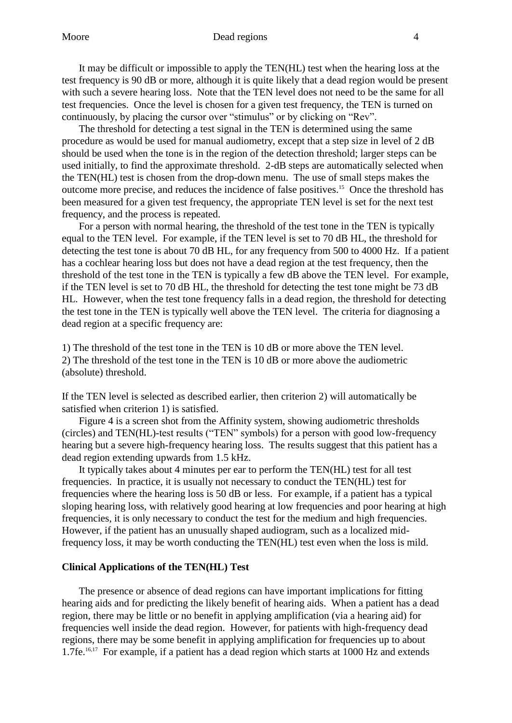It may be difficult or impossible to apply the TEN(HL) test when the hearing loss at the test frequency is 90 dB or more, although it is quite likely that a dead region would be present with such a severe hearing loss. Note that the TEN level does not need to be the same for all test frequencies. Once the level is chosen for a given test frequency, the TEN is turned on continuously, by placing the cursor over "stimulus" or by clicking on "Rev".

The threshold for detecting a test signal in the TEN is determined using the same procedure as would be used for manual audiometry, except that a step size in level of 2 dB should be used when the tone is in the region of the detection threshold; larger steps can be used initially, to find the approximate threshold. 2-dB steps are automatically selected when the TEN(HL) test is chosen from the drop-down menu. The use of small steps makes the outcome more precise, and reduces the incidence of false positives.<sup>15</sup> Once the threshold has been measured for a given test frequency, the appropriate TEN level is set for the next test frequency, and the process is repeated.

For a person with normal hearing, the threshold of the test tone in the TEN is typically equal to the TEN level. For example, if the TEN level is set to 70 dB HL, the threshold for detecting the test tone is about 70 dB HL, for any frequency from 500 to 4000 Hz. If a patient has a cochlear hearing loss but does not have a dead region at the test frequency, then the threshold of the test tone in the TEN is typically a few dB above the TEN level. For example, if the TEN level is set to 70 dB HL, the threshold for detecting the test tone might be 73 dB HL. However, when the test tone frequency falls in a dead region, the threshold for detecting the test tone in the TEN is typically well above the TEN level. The criteria for diagnosing a dead region at a specific frequency are:

1) The threshold of the test tone in the TEN is 10 dB or more above the TEN level. 2) The threshold of the test tone in the TEN is 10 dB or more above the audiometric (absolute) threshold.

If the TEN level is selected as described earlier, then criterion 2) will automatically be satisfied when criterion 1) is satisfied.

Figure 4 is a screen shot from the Affinity system, showing audiometric thresholds (circles) and TEN(HL)-test results ("TEN" symbols) for a person with good low-frequency hearing but a severe high-frequency hearing loss. The results suggest that this patient has a dead region extending upwards from 1.5 kHz.

It typically takes about 4 minutes per ear to perform the TEN(HL) test for all test frequencies. In practice, it is usually not necessary to conduct the TEN(HL) test for frequencies where the hearing loss is 50 dB or less. For example, if a patient has a typical sloping hearing loss, with relatively good hearing at low frequencies and poor hearing at high frequencies, it is only necessary to conduct the test for the medium and high frequencies. However, if the patient has an unusually shaped audiogram, such as a localized midfrequency loss, it may be worth conducting the TEN(HL) test even when the loss is mild.

### **Clinical Applications of the TEN(HL) Test**

The presence or absence of dead regions can have important implications for fitting hearing aids and for predicting the likely benefit of hearing aids. When a patient has a dead region, there may be little or no benefit in applying amplification (via a hearing aid) for frequencies well inside the dead region. However, for patients with high-frequency dead regions, there may be some benefit in applying amplification for frequencies up to about 1.7fe.16,17 For example, if a patient has a dead region which starts at 1000 Hz and extends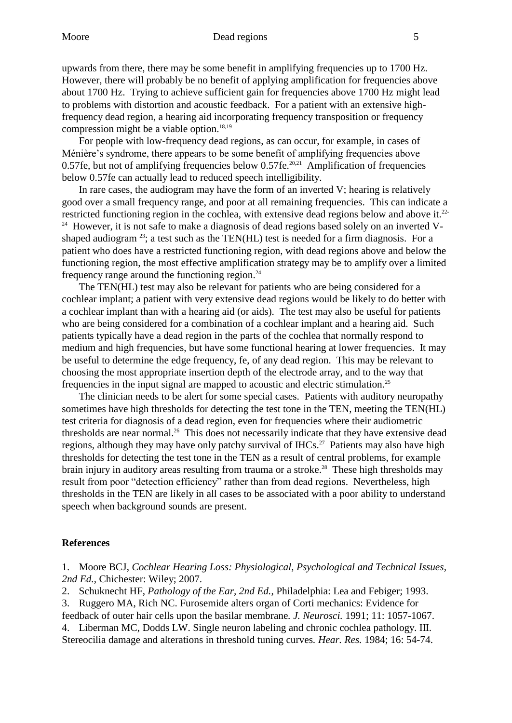#### Moore **Dead regions** 5

upwards from there, there may be some benefit in amplifying frequencies up to 1700 Hz. However, there will probably be no benefit of applying amplification for frequencies above about 1700 Hz. Trying to achieve sufficient gain for frequencies above 1700 Hz might lead to problems with distortion and acoustic feedback. For a patient with an extensive highfrequency dead region, a hearing aid incorporating frequency transposition or frequency compression might be a viable option. $18,19$ 

For people with low-frequency dead regions, as can occur, for example, in cases of Ménière's syndrome, there appears to be some benefit of amplifying frequencies above 0.57fe, but not of amplifying frequencies below  $0.57$ fe.<sup>20,21</sup> Amplification of frequencies below 0.57fe can actually lead to reduced speech intelligibility.

In rare cases, the audiogram may have the form of an inverted V; hearing is relatively good over a small frequency range, and poor at all remaining frequencies. This can indicate a restricted functioning region in the cochlea, with extensive dead regions below and above it.22- <sup>24</sup> However, it is not safe to make a diagnosis of dead regions based solely on an inverted Vshaped audiogram  $^{23}$ ; a test such as the TEN(HL) test is needed for a firm diagnosis. For a patient who does have a restricted functioning region, with dead regions above and below the functioning region, the most effective amplification strategy may be to amplify over a limited frequency range around the functioning region. $24$ 

The TEN(HL) test may also be relevant for patients who are being considered for a cochlear implant; a patient with very extensive dead regions would be likely to do better with a cochlear implant than with a hearing aid (or aids). The test may also be useful for patients who are being considered for a combination of a cochlear implant and a hearing aid. Such patients typically have a dead region in the parts of the cochlea that normally respond to medium and high frequencies, but have some functional hearing at lower frequencies. It may be useful to determine the edge frequency, fe, of any dead region. This may be relevant to choosing the most appropriate insertion depth of the electrode array, and to the way that frequencies in the input signal are mapped to acoustic and electric stimulation.<sup>25</sup>

The clinician needs to be alert for some special cases. Patients with auditory neuropathy sometimes have high thresholds for detecting the test tone in the TEN, meeting the TEN(HL) test criteria for diagnosis of a dead region, even for frequencies where their audiometric thresholds are near normal.<sup>26</sup> This does not necessarily indicate that they have extensive dead regions, although they may have only patchy survival of IHCs.<sup>27</sup> Patients may also have high thresholds for detecting the test tone in the TEN as a result of central problems, for example brain injury in auditory areas resulting from trauma or a stroke.<sup>28</sup> These high thresholds may result from poor "detection efficiency" rather than from dead regions. Nevertheless, high thresholds in the TEN are likely in all cases to be associated with a poor ability to understand speech when background sounds are present.

### **References**

1. Moore BCJ, *Cochlear Hearing Loss: Physiological, Psychological and Technical Issues, 2nd Ed.*, Chichester: Wiley; 2007.

2. Schuknecht HF, *Pathology of the Ear, 2nd Ed.*, Philadelphia: Lea and Febiger; 1993.

3. Ruggero MA, Rich NC. Furosemide alters organ of Corti mechanics: Evidence for

feedback of outer hair cells upon the basilar membrane*. J. Neurosci.* 1991; 11: 1057-1067.

4. Liberman MC, Dodds LW. Single neuron labeling and chronic cochlea pathology. III. Stereocilia damage and alterations in threshold tuning curves*. Hear. Res.* 1984; 16: 54-74.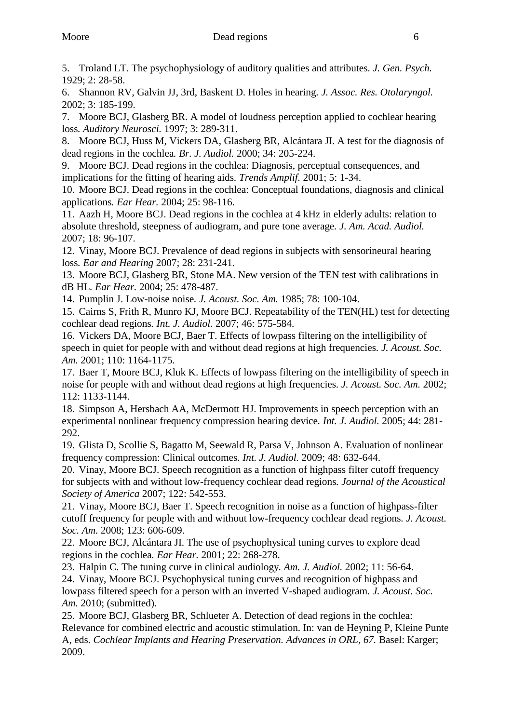5. Troland LT. The psychophysiology of auditory qualities and attributes*. J. Gen. Psych.* 1929; 2: 28-58.

6. Shannon RV, Galvin JJ, 3rd, Baskent D. Holes in hearing*. J. Assoc. Res. Otolaryngol.* 2002; 3: 185-199.

7. Moore BCJ, Glasberg BR. A model of loudness perception applied to cochlear hearing loss*. Auditory Neurosci.* 1997; 3: 289-311.

8. Moore BCJ, Huss M, Vickers DA, Glasberg BR, Alcántara JI. A test for the diagnosis of dead regions in the cochlea*. Br. J. Audiol.* 2000; 34: 205-224.

9. Moore BCJ. Dead regions in the cochlea: Diagnosis, perceptual consequences, and implications for the fitting of hearing aids*. Trends Amplif.* 2001; 5: 1-34.

10. Moore BCJ. Dead regions in the cochlea: Conceptual foundations, diagnosis and clinical applications*. Ear Hear.* 2004; 25: 98-116.

11. Aazh H, Moore BCJ. Dead regions in the cochlea at 4 kHz in elderly adults: relation to absolute threshold, steepness of audiogram, and pure tone average*. J. Am. Acad. Audiol.* 2007; 18: 96-107.

12. Vinay, Moore BCJ. Prevalence of dead regions in subjects with sensorineural hearing loss*. Ear and Hearing* 2007; 28: 231-241.

13. Moore BCJ, Glasberg BR, Stone MA. New version of the TEN test with calibrations in dB HL*. Ear Hear.* 2004; 25: 478-487.

14. Pumplin J. Low-noise noise*. J. Acoust. Soc. Am.* 1985; 78: 100-104.

15. Cairns S, Frith R, Munro KJ, Moore BCJ. Repeatability of the TEN(HL) test for detecting cochlear dead regions*. Int. J. Audiol.* 2007; 46: 575-584.

16. Vickers DA, Moore BCJ, Baer T. Effects of lowpass filtering on the intelligibility of speech in quiet for people with and without dead regions at high frequencies*. J. Acoust. Soc. Am.* 2001; 110: 1164-1175.

17. Baer T, Moore BCJ, Kluk K. Effects of lowpass filtering on the intelligibility of speech in noise for people with and without dead regions at high frequencies*. J. Acoust. Soc. Am.* 2002; 112: 1133-1144.

18. Simpson A, Hersbach AA, McDermott HJ. Improvements in speech perception with an experimental nonlinear frequency compression hearing device*. Int. J. Audiol.* 2005; 44: 281- 292.

19. Glista D, Scollie S, Bagatto M, Seewald R, Parsa V, Johnson A. Evaluation of nonlinear frequency compression: Clinical outcomes*. Int. J. Audiol.* 2009; 48: 632-644.

20. Vinay, Moore BCJ. Speech recognition as a function of highpass filter cutoff frequency for subjects with and without low-frequency cochlear dead regions*. Journal of the Acoustical Society of America* 2007; 122: 542-553.

21. Vinay, Moore BCJ, Baer T. Speech recognition in noise as a function of highpass-filter cutoff frequency for people with and without low-frequency cochlear dead regions*. J. Acoust. Soc. Am.* 2008; 123: 606-609.

22. Moore BCJ, Alcántara JI. The use of psychophysical tuning curves to explore dead regions in the cochlea*. Ear Hear.* 2001; 22: 268-278.

23. Halpin C. The tuning curve in clinical audiology*. Am. J. Audiol.* 2002; 11: 56-64.

24. Vinay, Moore BCJ. Psychophysical tuning curves and recognition of highpass and lowpass filtered speech for a person with an inverted V-shaped audiogram*. J. Acoust. Soc. Am.* 2010; (submitted).

25. Moore BCJ, Glasberg BR, Schlueter A. Detection of dead regions in the cochlea: Relevance for combined electric and acoustic stimulation. In: van de Heyning P, Kleine Punte A, eds. *Cochlear Implants and Hearing Preservation. Advances in ORL, 67.* Basel: Karger; 2009.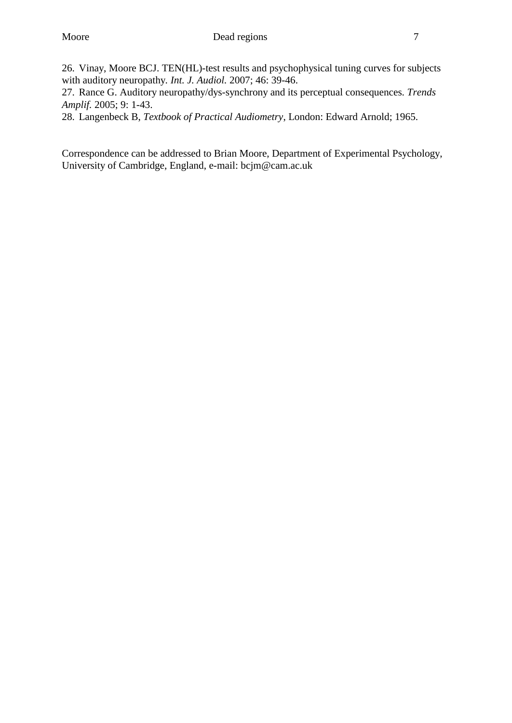26. Vinay, Moore BCJ. TEN(HL)-test results and psychophysical tuning curves for subjects with auditory neuropathy*. Int. J. Audiol.* 2007; 46: 39-46.

27. Rance G. Auditory neuropathy/dys-synchrony and its perceptual consequences*. Trends Amplif.* 2005; 9: 1-43.

28. Langenbeck B, *Textbook of Practical Audiometry*, London: Edward Arnold; 1965.

Correspondence can be addressed to Brian Moore, Department of Experimental Psychology, University of Cambridge, England, e-mail: bcjm@cam.ac.uk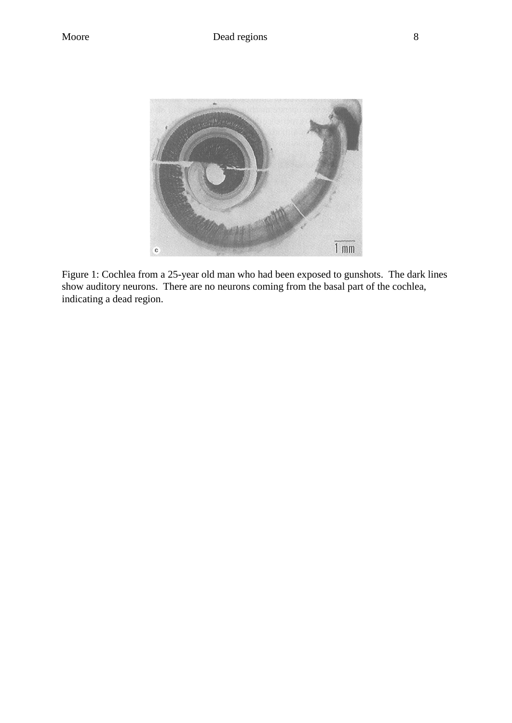

Figure 1: Cochlea from a 25-year old man who had been exposed to gunshots. The dark lines show auditory neurons. There are no neurons coming from the basal part of the cochlea, indicating a dead region.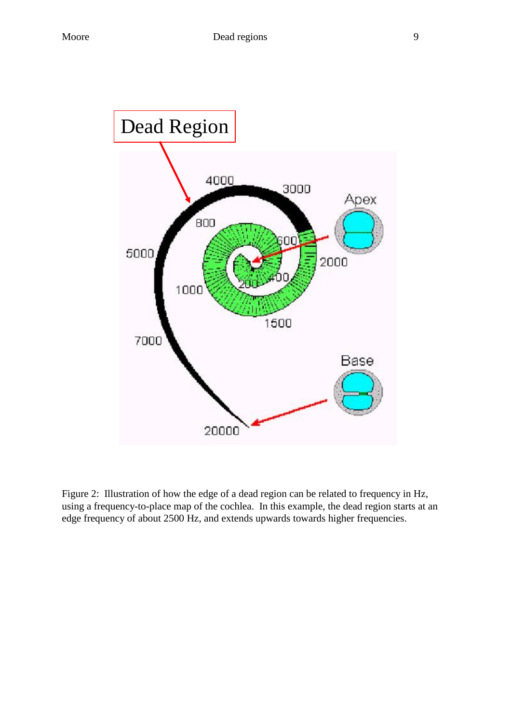

Figure 2: Illustration of how the edge of a dead region can be related to frequency in Hz, using a frequency-to-place map of the cochlea. In this example, the dead region starts at an edge frequency of about 2500 Hz, and extends upwards towards higher frequencies.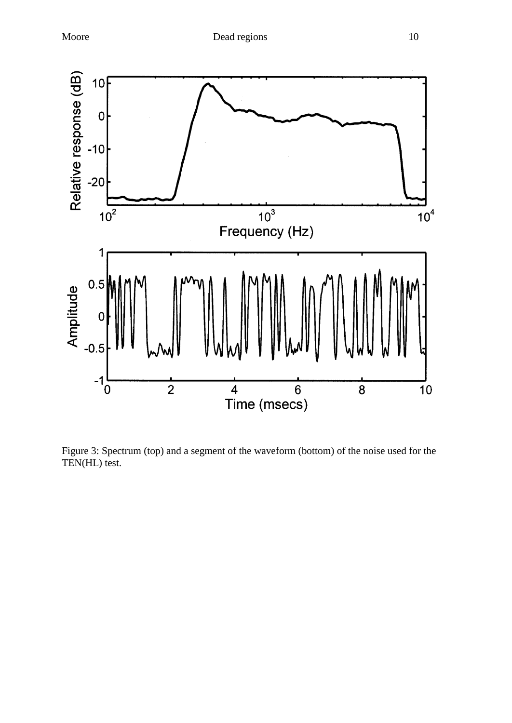

Figure 3: Spectrum (top) and a segment of the waveform (bottom) of the noise used for the TEN(HL) test.